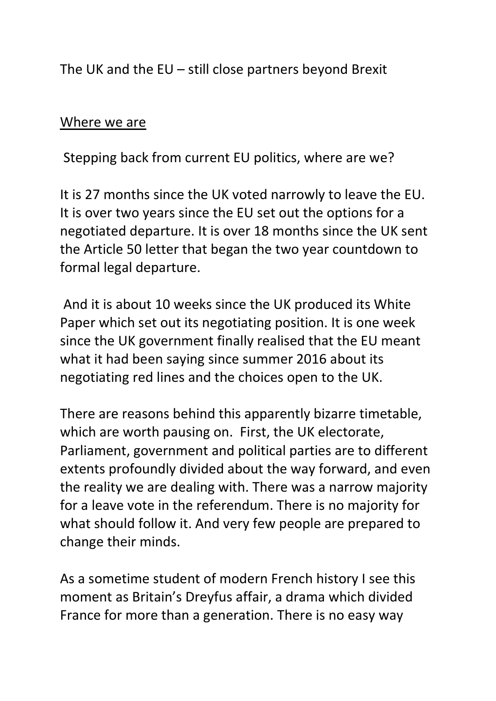The UK and the EU – still close partners beyond Brexit

## Where we are

Stepping back from current EU politics, where are we?

It is 27 months since the UK voted narrowly to leave the EU. It is over two years since the EU set out the options for a negotiated departure. It is over 18 months since the UK sent the Article 50 letter that began the two year countdown to formal legal departure.

 And it is about 10 weeks since the UK produced its White Paper which set out its negotiating position. It is one week since the UK government finally realised that the EU meant what it had been saying since summer 2016 about its negotiating red lines and the choices open to the UK.

There are reasons behind this apparently bizarre timetable, which are worth pausing on. First, the UK electorate, Parliament, government and political parties are to different extents profoundly divided about the way forward, and even the reality we are dealing with. There was a narrow majority for a leave vote in the referendum. There is no majority for what should follow it. And very few people are prepared to change their minds.

As a sometime student of modern French history I see this moment as Britain's Dreyfus affair, a drama which divided France for more than a generation. There is no easy way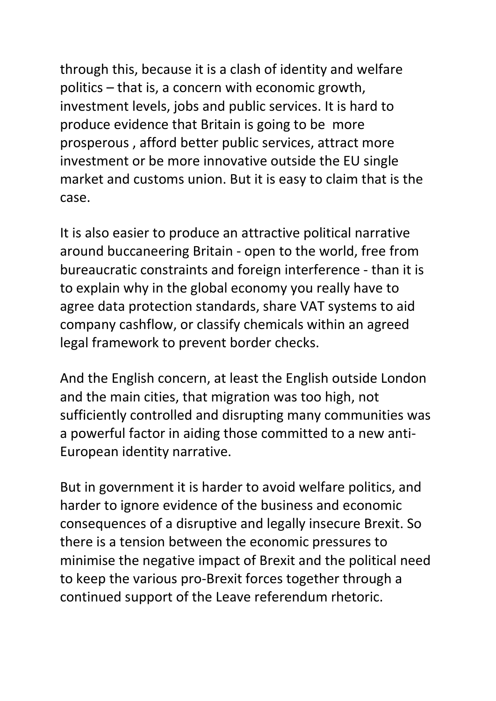through this, because it is a clash of identity and welfare politics – that is, a concern with economic growth, investment levels, jobs and public services. It is hard to produce evidence that Britain is going to be more prosperous , afford better public services, attract more investment or be more innovative outside the EU single market and customs union. But it is easy to claim that is the case.

It is also easier to produce an attractive political narrative around buccaneering Britain - open to the world, free from bureaucratic constraints and foreign interference - than it is to explain why in the global economy you really have to agree data protection standards, share VAT systems to aid company cashflow, or classify chemicals within an agreed legal framework to prevent border checks.

And the English concern, at least the English outside London and the main cities, that migration was too high, not sufficiently controlled and disrupting many communities was a powerful factor in aiding those committed to a new anti-European identity narrative.

But in government it is harder to avoid welfare politics, and harder to ignore evidence of the business and economic consequences of a disruptive and legally insecure Brexit. So there is a tension between the economic pressures to minimise the negative impact of Brexit and the political need to keep the various pro-Brexit forces together through a continued support of the Leave referendum rhetoric.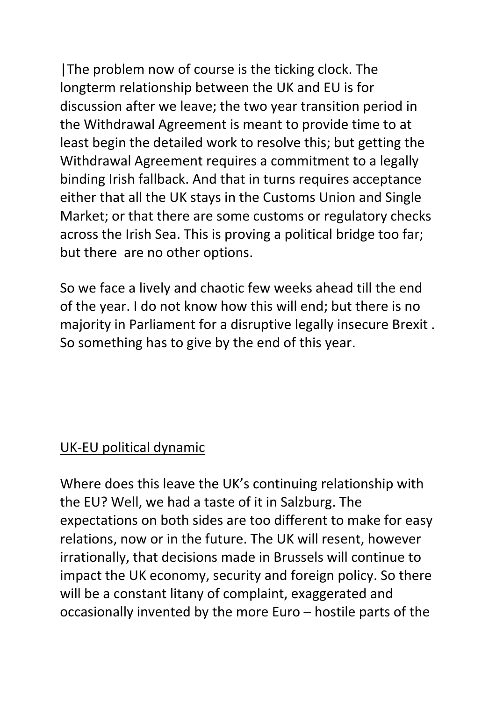|The problem now of course is the ticking clock. The longterm relationship between the UK and EU is for discussion after we leave; the two year transition period in the Withdrawal Agreement is meant to provide time to at least begin the detailed work to resolve this; but getting the Withdrawal Agreement requires a commitment to a legally binding Irish fallback. And that in turns requires acceptance either that all the UK stays in the Customs Union and Single Market; or that there are some customs or regulatory checks across the Irish Sea. This is proving a political bridge too far; but there are no other options.

So we face a lively and chaotic few weeks ahead till the end of the year. I do not know how this will end; but there is no majority in Parliament for a disruptive legally insecure Brexit . So something has to give by the end of this year.

## UK-EU political dynamic

Where does this leave the UK's continuing relationship with the EU? Well, we had a taste of it in Salzburg. The expectations on both sides are too different to make for easy relations, now or in the future. The UK will resent, however irrationally, that decisions made in Brussels will continue to impact the UK economy, security and foreign policy. So there will be a constant litany of complaint, exaggerated and occasionally invented by the more Euro – hostile parts of the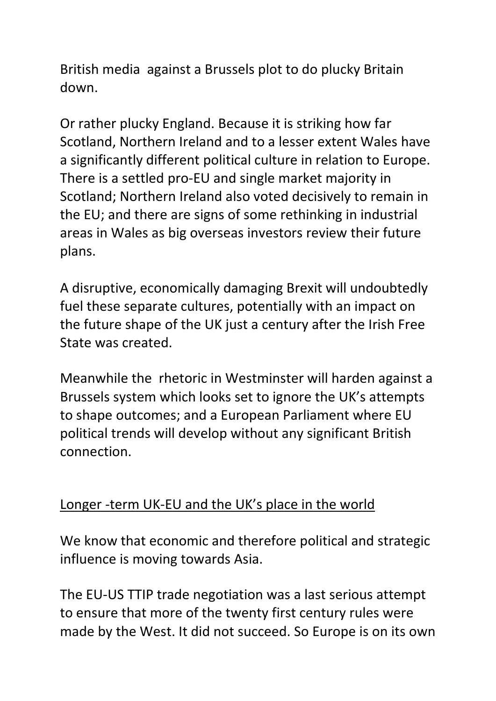British media against a Brussels plot to do plucky Britain down.

Or rather plucky England. Because it is striking how far Scotland, Northern Ireland and to a lesser extent Wales have a significantly different political culture in relation to Europe. There is a settled pro-EU and single market majority in Scotland; Northern Ireland also voted decisively to remain in the EU; and there are signs of some rethinking in industrial areas in Wales as big overseas investors review their future plans.

A disruptive, economically damaging Brexit will undoubtedly fuel these separate cultures, potentially with an impact on the future shape of the UK just a century after the Irish Free State was created.

Meanwhile the rhetoric in Westminster will harden against a Brussels system which looks set to ignore the UK's attempts to shape outcomes; and a European Parliament where EU political trends will develop without any significant British connection.

## Longer -term UK-EU and the UK's place in the world

We know that economic and therefore political and strategic influence is moving towards Asia.

The EU-US TTIP trade negotiation was a last serious attempt to ensure that more of the twenty first century rules were made by the West. It did not succeed. So Europe is on its own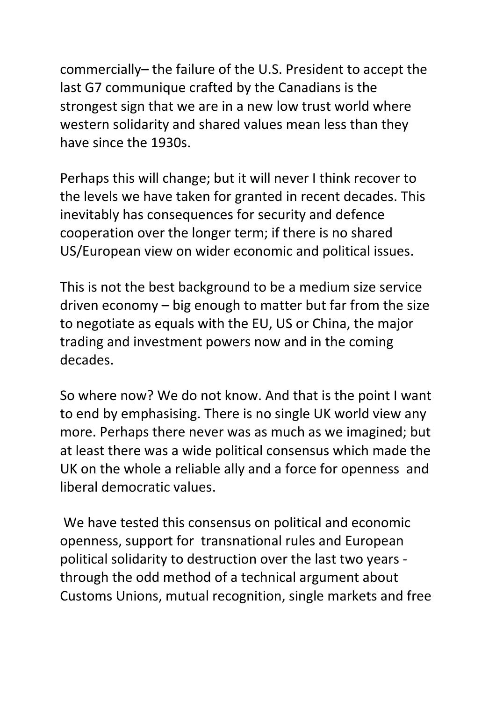commercially– the failure of the U.S. President to accept the last G7 communique crafted by the Canadians is the strongest sign that we are in a new low trust world where western solidarity and shared values mean less than they have since the 1930s.

Perhaps this will change; but it will never I think recover to the levels we have taken for granted in recent decades. This inevitably has consequences for security and defence cooperation over the longer term; if there is no shared US/European view on wider economic and political issues.

This is not the best background to be a medium size service driven economy – big enough to matter but far from the size to negotiate as equals with the EU, US or China, the major trading and investment powers now and in the coming decades.

So where now? We do not know. And that is the point I want to end by emphasising. There is no single UK world view any more. Perhaps there never was as much as we imagined; but at least there was a wide political consensus which made the UK on the whole a reliable ally and a force for openness and liberal democratic values.

 We have tested this consensus on political and economic openness, support for transnational rules and European political solidarity to destruction over the last two years through the odd method of a technical argument about Customs Unions, mutual recognition, single markets and free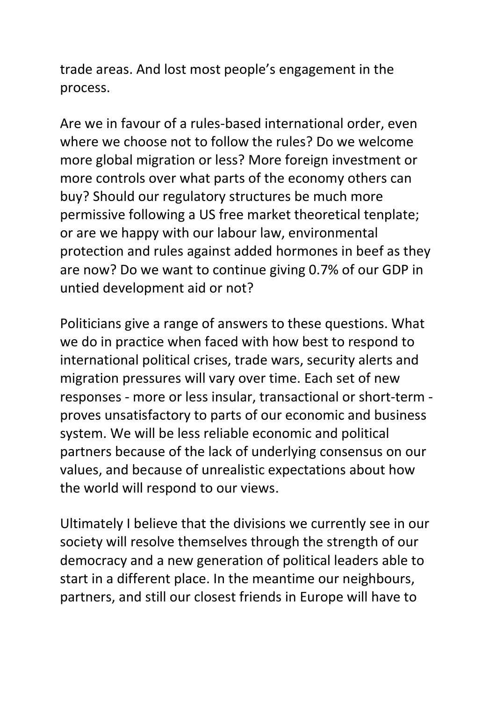trade areas. And lost most people's engagement in the process.

Are we in favour of a rules-based international order, even where we choose not to follow the rules? Do we welcome more global migration or less? More foreign investment or more controls over what parts of the economy others can buy? Should our regulatory structures be much more permissive following a US free market theoretical tenplate; or are we happy with our labour law, environmental protection and rules against added hormones in beef as they are now? Do we want to continue giving 0.7% of our GDP in untied development aid or not?

Politicians give a range of answers to these questions. What we do in practice when faced with how best to respond to international political crises, trade wars, security alerts and migration pressures will vary over time. Each set of new responses - more or less insular, transactional or short-term proves unsatisfactory to parts of our economic and business system. We will be less reliable economic and political partners because of the lack of underlying consensus on our values, and because of unrealistic expectations about how the world will respond to our views.

Ultimately I believe that the divisions we currently see in our society will resolve themselves through the strength of our democracy and a new generation of political leaders able to start in a different place. In the meantime our neighbours, partners, and still our closest friends in Europe will have to